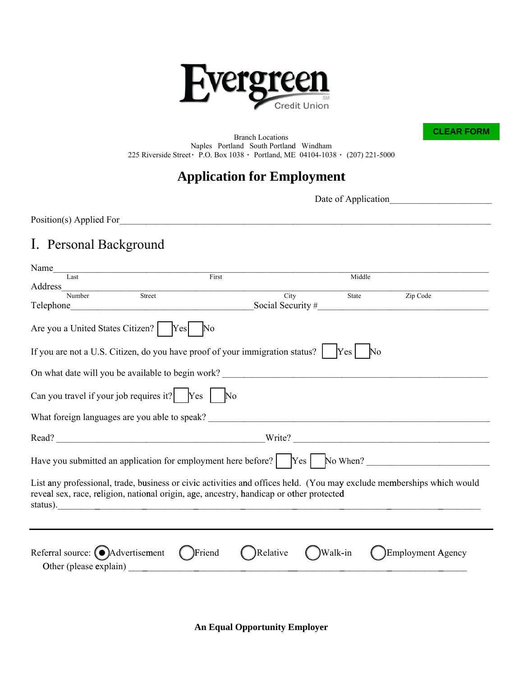

**CLEAR FORM** 

**Branch Locations** Naples Portland South Portland Windham 225 Riverside Street · P.O. Box 1038 · Portland, ME 04104-1038 · (207) 221-5000

#### **Application for Employment**

Date of Application

Position(s) Applied For

# I. Personal Background

| Name                                                                                                                                                                                                             |           |          |          |                       |                   |
|------------------------------------------------------------------------------------------------------------------------------------------------------------------------------------------------------------------|-----------|----------|----------|-----------------------|-------------------|
| Last                                                                                                                                                                                                             | First     |          |          | Middle                |                   |
| Address                                                                                                                                                                                                          |           |          |          |                       |                   |
| Street<br>Number                                                                                                                                                                                                 |           | City     |          | State                 | Zip Code          |
|                                                                                                                                                                                                                  |           |          |          |                       |                   |
| Are you a United States Citizen?   Yes                                                                                                                                                                           | $\rm No$  |          |          |                       |                   |
| If you are not a U.S. Citizen, do you have proof of your immigration status? $ $ [Yes]                                                                                                                           |           |          |          | $\mathbb{N}^{\Omega}$ |                   |
|                                                                                                                                                                                                                  |           |          |          |                       |                   |
| Can you travel if your job requires it? $\begin{bmatrix} \n\text{Yes} \n\end{bmatrix}$ No                                                                                                                        |           |          |          |                       |                   |
|                                                                                                                                                                                                                  |           |          |          |                       |                   |
|                                                                                                                                                                                                                  |           |          |          |                       |                   |
| Have you submitted an application for employment here before?   Yes   No When?                                                                                                                                   |           |          |          |                       |                   |
| List any professional, trade, business or civic activities and offices held. (You may exclude memberships which would<br>reveal sex, race, religion, national origin, age, ancestry, handicap or other protected |           |          |          |                       |                   |
| Referral source: $\bigodot$ Advertisement<br>Other (please explain)                                                                                                                                              | ( )Friend | Relative | )Walk-in |                       | Employment Agency |

**An Equal Opportunity Employer**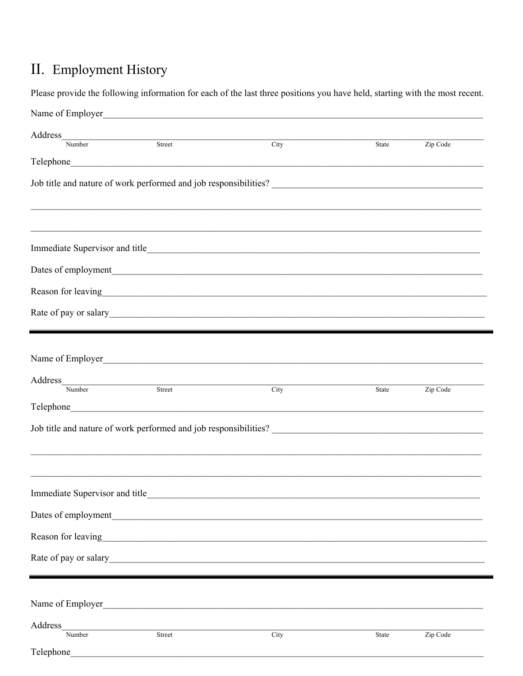# II. Employment History

|                     |                          | Please provide the following information for each of the last three positions you have held, starting with the most recent. |       |          |
|---------------------|--------------------------|-----------------------------------------------------------------------------------------------------------------------------|-------|----------|
|                     |                          | Name of Employer<br><u>Name of Employer</u>                                                                                 |       |          |
|                     | Address<br>Number Street |                                                                                                                             |       |          |
|                     |                          | City                                                                                                                        | State | Zip Code |
|                     |                          |                                                                                                                             |       |          |
|                     |                          |                                                                                                                             |       |          |
|                     |                          |                                                                                                                             |       |          |
|                     |                          |                                                                                                                             |       |          |
|                     |                          |                                                                                                                             |       |          |
|                     |                          |                                                                                                                             |       |          |
|                     |                          | Reason for leaving<br><u>Example 2008</u>                                                                                   |       |          |
|                     |                          |                                                                                                                             |       |          |
|                     |                          |                                                                                                                             |       |          |
|                     |                          | Name of Employer                                                                                                            |       |          |
|                     |                          |                                                                                                                             |       |          |
|                     | Address<br>Number Street | $\overline{\text{City}}$                                                                                                    | State | Zip Code |
|                     |                          |                                                                                                                             |       |          |
|                     |                          |                                                                                                                             |       |          |
|                     |                          |                                                                                                                             |       |          |
|                     |                          |                                                                                                                             |       |          |
|                     |                          |                                                                                                                             |       |          |
| Dates of employment |                          | <u> 1989 - Jan Alexandri, politik američki politik († 1908)</u>                                                             |       |          |
|                     |                          | Reason for leaving<br><u>Example 2014</u>                                                                                   |       |          |
|                     |                          |                                                                                                                             |       |          |
|                     |                          |                                                                                                                             |       |          |
|                     |                          |                                                                                                                             |       |          |
| Name of Employer    |                          |                                                                                                                             |       |          |
| Address<br>Number   | Street                   | City                                                                                                                        | State | Zip Code |
| Telephone           |                          |                                                                                                                             |       |          |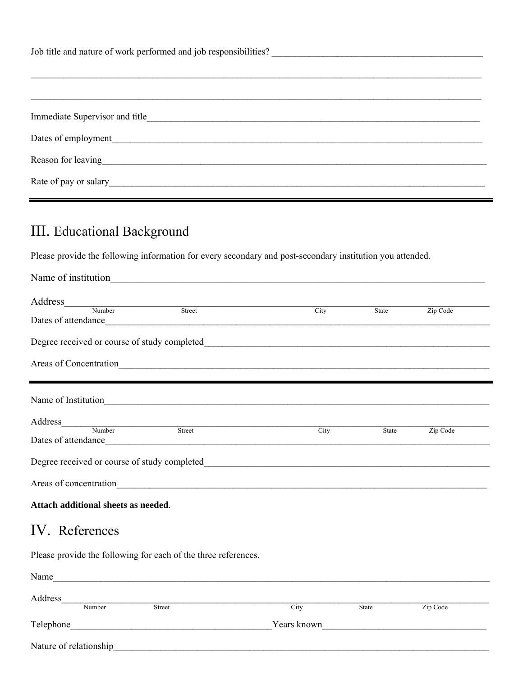| Reason for leaving The Communication of the Communication of the Communication of the Communication of the Communication of the Communication of the Communication of the Communication of the Communication of the Communicat |  |  |  |
|--------------------------------------------------------------------------------------------------------------------------------------------------------------------------------------------------------------------------------|--|--|--|
|                                                                                                                                                                                                                                |  |  |  |

# III. Educational Background

Please provide the following information for every secondary and post-secondary institution you attended.

| Name of institution                                            |               |      |       |          |
|----------------------------------------------------------------|---------------|------|-------|----------|
|                                                                |               |      |       |          |
| Address<br>Number Street                                       |               | City | State | Zip Code |
|                                                                |               |      |       |          |
| Areas of Concentration<br><u>Executive Concentration</u>       |               |      |       |          |
| Name of Institution                                            |               |      |       |          |
|                                                                |               |      |       |          |
|                                                                |               | City | State | Zip Code |
|                                                                |               |      |       |          |
|                                                                |               |      |       |          |
| Attach additional sheets as needed.                            |               |      |       |          |
| IV. References                                                 |               |      |       |          |
| Please provide the following for each of the three references. |               |      |       |          |
| Name                                                           |               |      |       |          |
| Address_                                                       | Number Street | City | State | Zip Code |
|                                                                |               |      |       |          |
|                                                                |               |      |       |          |

Nature of relationship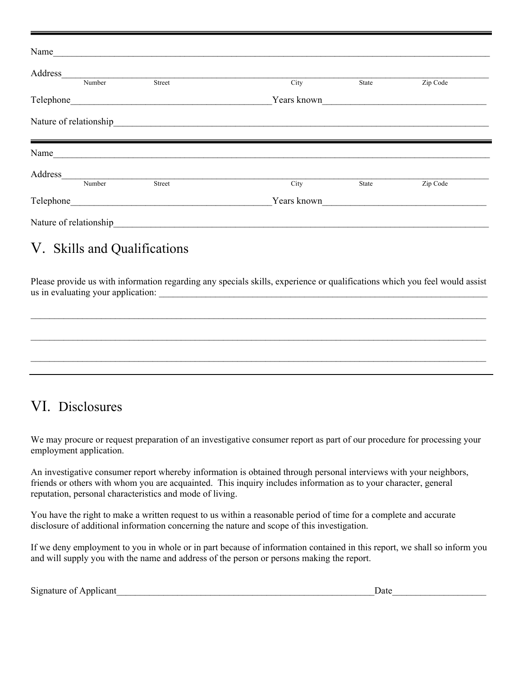| Name                    |        |             |       |          |  |
|-------------------------|--------|-------------|-------|----------|--|
| Address                 |        |             |       |          |  |
| Number                  | Street | City        | State | Zip Code |  |
| Telephone               |        | Years known |       |          |  |
| Nature of relationship  |        |             |       |          |  |
| Name                    |        |             |       |          |  |
| Address                 |        |             |       |          |  |
| Number                  | Street | City        | State | Zip Code |  |
| Telephone               |        | Years known |       |          |  |
| Nature of relationship_ |        |             |       |          |  |

#### V. Skills and Qualifications

Please provide us with information regarding any specials skills, experience or qualifications which you feel would assist us in evaluating your application:  $\qquad \qquad \qquad$ 

# $\mathcal{L}_\mathcal{L} = \{ \mathcal{L}_\mathcal{L} = \{ \mathcal{L}_\mathcal{L} = \{ \mathcal{L}_\mathcal{L} = \{ \mathcal{L}_\mathcal{L} = \{ \mathcal{L}_\mathcal{L} = \{ \mathcal{L}_\mathcal{L} = \{ \mathcal{L}_\mathcal{L} = \{ \mathcal{L}_\mathcal{L} = \{ \mathcal{L}_\mathcal{L} = \{ \mathcal{L}_\mathcal{L} = \{ \mathcal{L}_\mathcal{L} = \{ \mathcal{L}_\mathcal{L} = \{ \mathcal{L}_\mathcal{L} = \{ \mathcal{L}_\mathcal{$  $\_$  $\mathcal{L}_\mathcal{L} = \{ \mathcal{L}_\mathcal{L} = \{ \mathcal{L}_\mathcal{L} = \{ \mathcal{L}_\mathcal{L} = \{ \mathcal{L}_\mathcal{L} = \{ \mathcal{L}_\mathcal{L} = \{ \mathcal{L}_\mathcal{L} = \{ \mathcal{L}_\mathcal{L} = \{ \mathcal{L}_\mathcal{L} = \{ \mathcal{L}_\mathcal{L} = \{ \mathcal{L}_\mathcal{L} = \{ \mathcal{L}_\mathcal{L} = \{ \mathcal{L}_\mathcal{L} = \{ \mathcal{L}_\mathcal{L} = \{ \mathcal{L}_\mathcal{$

### VI. Disclosures

We may procure or request preparation of an investigative consumer report as part of our procedure for processing your employment application.

An investigative consumer report whereby information is obtained through personal interviews with your neighbors, friends or others with whom you are acquainted. This inquiry includes information as to your character, general reputation, personal characteristics and mode of living.

You have the right to make a written request to us within a reasonable period of time for a complete and accurate disclosure of additional information concerning the nature and scope of this investigation.

If we deny employment to you in whole or in part because of information contained in this report, we shall so inform you and will supply you with the name and address of the person or persons making the report.

Signature of Applicant Theorem 2011 and 2012 and 2012 and 2012 and 2012 and 2012 and 2012 and 2012 and 2012 and 2012 and 2012 and 2012 and 2012 and 2012 and 2012 and 2012 and 2012 and 2012 and 2012 and 2012 and 2012 and 20